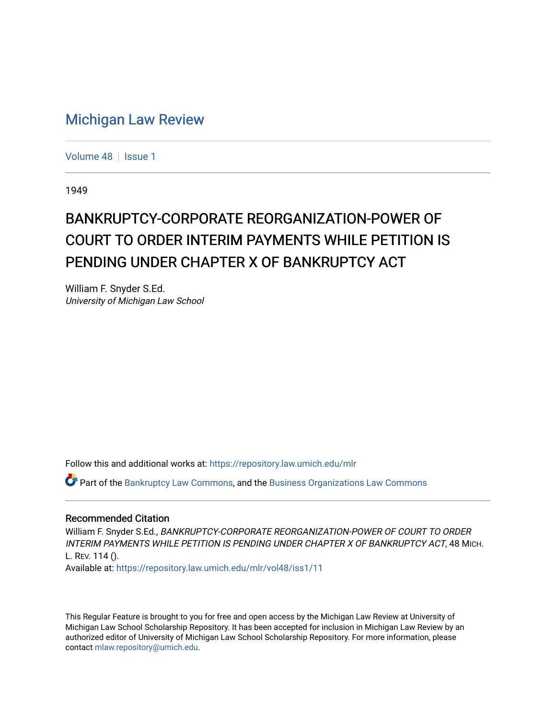## [Michigan Law Review](https://repository.law.umich.edu/mlr)

[Volume 48](https://repository.law.umich.edu/mlr/vol48) | [Issue 1](https://repository.law.umich.edu/mlr/vol48/iss1)

1949

## BANKRUPTCY-CORPORATE REORGANIZATION-POWER OF COURT TO ORDER INTERIM PAYMENTS WHILE PETITION IS PENDING UNDER CHAPTER X OF BANKRUPTCY ACT

William F. Snyder S.Ed. University of Michigan Law School

Follow this and additional works at: [https://repository.law.umich.edu/mlr](https://repository.law.umich.edu/mlr?utm_source=repository.law.umich.edu%2Fmlr%2Fvol48%2Fiss1%2F11&utm_medium=PDF&utm_campaign=PDFCoverPages) 

Part of the [Bankruptcy Law Commons,](http://network.bepress.com/hgg/discipline/583?utm_source=repository.law.umich.edu%2Fmlr%2Fvol48%2Fiss1%2F11&utm_medium=PDF&utm_campaign=PDFCoverPages) and the [Business Organizations Law Commons](http://network.bepress.com/hgg/discipline/900?utm_source=repository.law.umich.edu%2Fmlr%2Fvol48%2Fiss1%2F11&utm_medium=PDF&utm_campaign=PDFCoverPages) 

## Recommended Citation

William F. Snyder S.Ed., BANKRUPTCY-CORPORATE REORGANIZATION-POWER OF COURT TO ORDER INTERIM PAYMENTS WHILE PETITION IS PENDING UNDER CHAPTER X OF BANKRUPTCY ACT, 48 MICH. L. REV. 114 ().

Available at: [https://repository.law.umich.edu/mlr/vol48/iss1/11](https://repository.law.umich.edu/mlr/vol48/iss1/11?utm_source=repository.law.umich.edu%2Fmlr%2Fvol48%2Fiss1%2F11&utm_medium=PDF&utm_campaign=PDFCoverPages) 

This Regular Feature is brought to you for free and open access by the Michigan Law Review at University of Michigan Law School Scholarship Repository. It has been accepted for inclusion in Michigan Law Review by an authorized editor of University of Michigan Law School Scholarship Repository. For more information, please contact [mlaw.repository@umich.edu](mailto:mlaw.repository@umich.edu).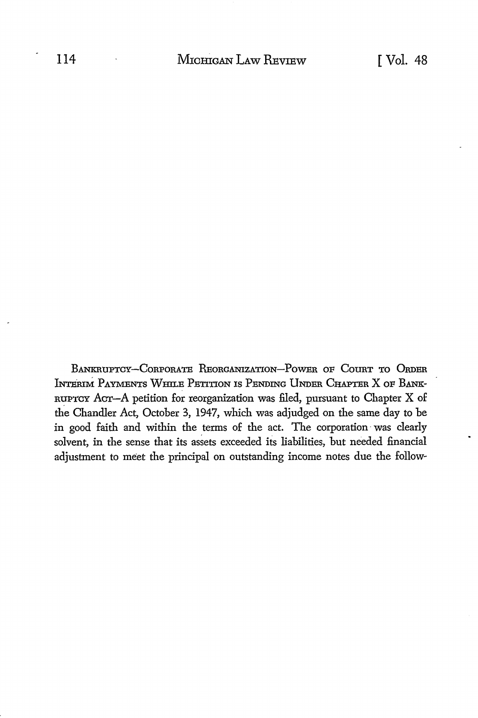BANKRUPTCY-CORPORATE REORGANIZATION-POWER OF COURT TO ORDER INTERIM PAYMENTS WHILE PETITION IS PENDING UNDER CHAPTER X OF BANK-RUPTCY ACT-A petition for reorganization was filed, pursuant to Chapter X of the Chandler Act, October 3, 1947, which was adjudged on the same day to be in good faith and within the terms of the act. The corporation was clearly solvent, in the sense that its assets exceeded its liabilities, but needed financial adjustment to meet the principal on outstanding income notes due the follow-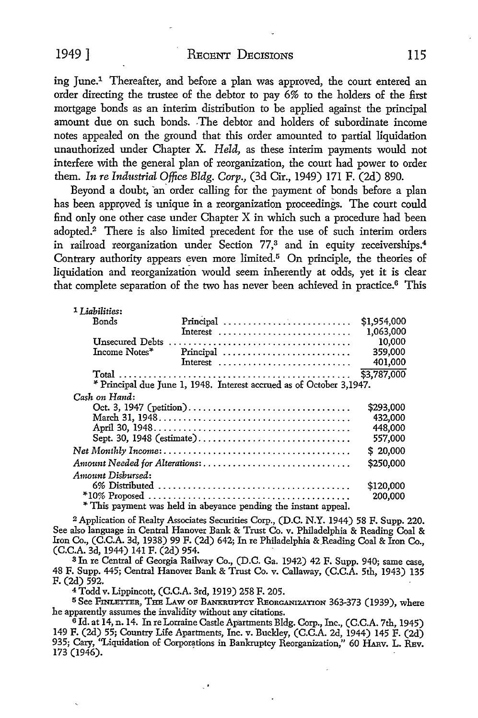ing June.1 Thereafter, and before a plan was approved, the court entered an order directing the trustee of the debtor to pay 6% to the holders of the first mortgage bonds as an interim distribution to be applied against the principal amount due on such bonds. -The debtor and holders of subordinate income notes appealed on the ground that this order amounted to partial liquidation unauthorized under Chapter X. *Held,* as these interim payments would not interfere with the general plan of reorganization, the court had power to order them. *In re Industrial Office Bldg. Corp.,* (3d Cir., 1949) 171 F. (2d) 890.

Beyond a doubt, an order calling for the payment of bonds before a plan has been approved is unique in a reorganization proceedings. The court could find only one other case under Chapter X in which such a procedure had been adopted.2 There is also limited precedent for the use of such interim orders in railroad reorganization under Section 77,<sup>3</sup> and in equity receiverships.<sup>4</sup> Contrary authority appears even more limited.<sup>5</sup> On principle, the theories of liquidation and reorganization would seem inherently at odds, yet it is clear that complete separation of the two has never been achieved in practice.<sup>6</sup> This

| 1 Liabilities:                                                       |                                                                    |             |
|----------------------------------------------------------------------|--------------------------------------------------------------------|-------------|
| Bonds                                                                | Principal                                                          | \$1,954,000 |
|                                                                      |                                                                    | 1,063,000   |
|                                                                      |                                                                    | 10,000      |
| Income Notes*                                                        | Principal                                                          | 359,000     |
|                                                                      | Interest $\dots\dots\dots\dots\dots\dots\dots\dots\dots\dots\dots$ | 401,000     |
|                                                                      |                                                                    | \$3,787,000 |
| * Principal due June 1, 1948. Interest accrued as of October 3,1947. |                                                                    |             |
| Cash on Hand:                                                        |                                                                    |             |
|                                                                      | \$293,000                                                          |             |
|                                                                      |                                                                    | 432,000     |
|                                                                      |                                                                    | 448,000     |
| Sept. 30, 1948 (estimate)                                            |                                                                    | 557,000     |
|                                                                      |                                                                    | \$20,000    |
| Amount Needed for Alterations:                                       |                                                                    | \$250,000   |
| Amount Disbursed:                                                    |                                                                    |             |
|                                                                      |                                                                    |             |
|                                                                      |                                                                    | 200,000     |
| * This payment was held in abeyance pending the instant appeal.      |                                                                    |             |

<sup>2</sup>Application of Realty Associates Securities Corp., (D.C. N.Y. 1944) 58 F. Supp. 220. See also language in Central Hanover Bank & Trust Co. v. Philadelphia & Reading Coal & Iron Co., (C.C.A. 3d, 1938) 99 F. (2d) 642; In re Philadelphia & Reading Coal & Iron Co., (C.C.A. 3d, 1944) 141 F. (2d) 954.

3 In re Central of Georgia Railway Co., (D.C. Ga. 1942) 42 F. Supp. 940; same case, 48 F. Supp. 445; Central Hanover Bank & Trust Co. v. Callaway, (C.C.A. 5th, 1943) 135 F. (2d) 592.

<sup>4</sup>Todd v. Lippincott, (C.C.A. 3rd, 1919) 258 F. 205.

5 See FINLETrER, THE LAW OF BANKRUPTCY REonGANIZATION 363-373 (1939), where he apparently assumes the invalidity without any citations.

<sup>6</sup> Id. at 14, n. 14. In re Lorraine Castle Apartments Bldg. Corp., Inc., (C.C.A. 7th, 1945) 149 F. (2d) 55; Country Life Apartments, Inc. v. Buckley, (C.C.A. 2d, 1944) 145 F. (2d) 935; Cary, "Liquidation of Corporations in Bankruptcy Reorganization," 60 HARV. L. REV. 173 (1946).